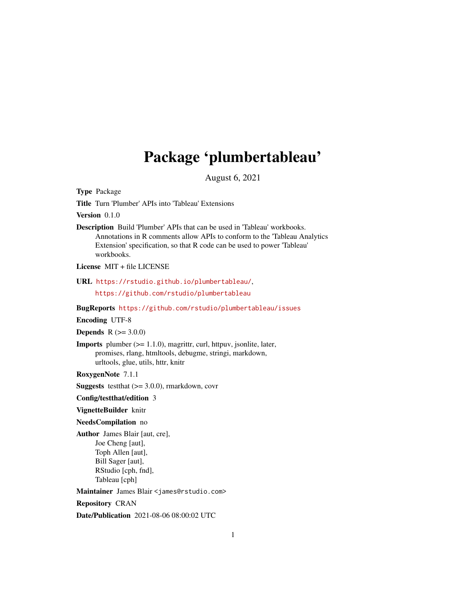## Package 'plumbertableau'

August 6, 2021

<span id="page-0-0"></span>Type Package

Title Turn 'Plumber' APIs into 'Tableau' Extensions

Version 0.1.0

Description Build 'Plumber' APIs that can be used in 'Tableau' workbooks. Annotations in R comments allow APIs to conform to the 'Tableau Analytics Extension' specification, so that R code can be used to power 'Tableau' workbooks.

License MIT + file LICENSE

URL <https://rstudio.github.io/plumbertableau/>,

<https://github.com/rstudio/plumbertableau>

BugReports <https://github.com/rstudio/plumbertableau/issues>

Encoding UTF-8

**Depends**  $R (= 3.0.0)$ 

Imports plumber (>= 1.1.0), magrittr, curl, httpuv, jsonlite, later, promises, rlang, htmltools, debugme, stringi, markdown, urltools, glue, utils, httr, knitr

RoxygenNote 7.1.1

**Suggests** testthat  $(>= 3.0.0)$ , rmarkdown, covr

Config/testthat/edition 3

VignetteBuilder knitr

#### NeedsCompilation no

Author James Blair [aut, cre], Joe Cheng [aut], Toph Allen [aut], Bill Sager [aut], RStudio [cph, fnd], Tableau [cph]

Maintainer James Blair <james@rstudio.com>

Repository CRAN

Date/Publication 2021-08-06 08:00:02 UTC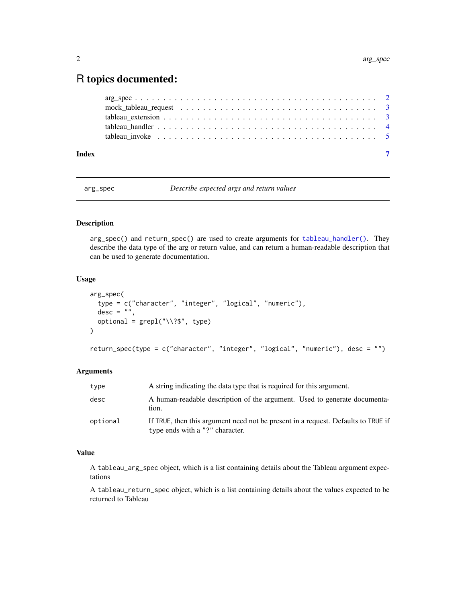### <span id="page-1-0"></span>R topics documented:

| Index |                                                                                                                         |  |
|-------|-------------------------------------------------------------------------------------------------------------------------|--|
|       | tableau invoke $\ldots \ldots \ldots \ldots \ldots \ldots \ldots \ldots \ldots \ldots \ldots \ldots$                    |  |
|       |                                                                                                                         |  |
|       |                                                                                                                         |  |
|       |                                                                                                                         |  |
|       | $arg\_spec \dots \dots \dots \dots \dots \dots \dots \dots \dots \dots \dots \dots \dots \dots \dots \dots \dots \dots$ |  |

<span id="page-1-1"></span>arg\_spec *Describe expected args and return values*

#### <span id="page-1-2"></span>Description

arg\_spec() and return\_spec() are used to create arguments for [tableau\\_handler\(\)](#page-3-1). They describe the data type of the arg or return value, and can return a human-readable description that can be used to generate documentation.

#### Usage

```
arg_spec(
  type = c("character", "integer", "logical", "numeric"),
  desc = "",optional = \text{grepl}("\\<br>: type)
)
return_spec(type = c("character", "integer", "logical", "numeric"), desc = "")
```
#### Arguments

| type     | A string indicating the data type that is required for this argument.                                                |
|----------|----------------------------------------------------------------------------------------------------------------------|
| desc     | A human-readable description of the argument. Used to generate documenta-<br>tion.                                   |
| optional | If TRUE, then this argument need not be present in a request. Defaults to TRUE if<br>type ends with a "?" character. |

#### Value

A tableau\_arg\_spec object, which is a list containing details about the Tableau argument expectations

A tableau\_return\_spec object, which is a list containing details about the values expected to be returned to Tableau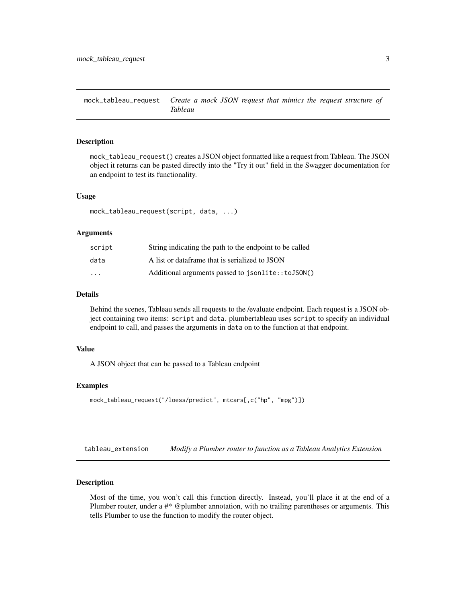<span id="page-2-0"></span>mock\_tableau\_request *Create a mock JSON request that mimics the request structure of Tableau*

#### Description

mock\_tableau\_request() creates a JSON object formatted like a request from Tableau. The JSON object it returns can be pasted directly into the "Try it out" field in the Swagger documentation for an endpoint to test its functionality.

#### Usage

```
mock_tableau_request(script, data, ...)
```
#### Arguments

| script   | String indicating the path to the endpoint to be called |
|----------|---------------------------------------------------------|
| data     | A list or dataframe that is serialized to JSON          |
| $\cdots$ | Additional arguments passed to jsonlite::toJSON()       |

#### Details

Behind the scenes, Tableau sends all requests to the /evaluate endpoint. Each request is a JSON object containing two items: script and data. plumbertableau uses script to specify an individual endpoint to call, and passes the arguments in data on to the function at that endpoint.

#### Value

A JSON object that can be passed to a Tableau endpoint

#### Examples

```
mock_tableau_request("/loess/predict", mtcars[,c("hp", "mpg")])
```
<span id="page-2-1"></span>tableau\_extension *Modify a Plumber router to function as a Tableau Analytics Extension*

#### **Description**

Most of the time, you won't call this function directly. Instead, you'll place it at the end of a Plumber router, under a #\* @plumber annotation, with no trailing parentheses or arguments. This tells Plumber to use the function to modify the router object.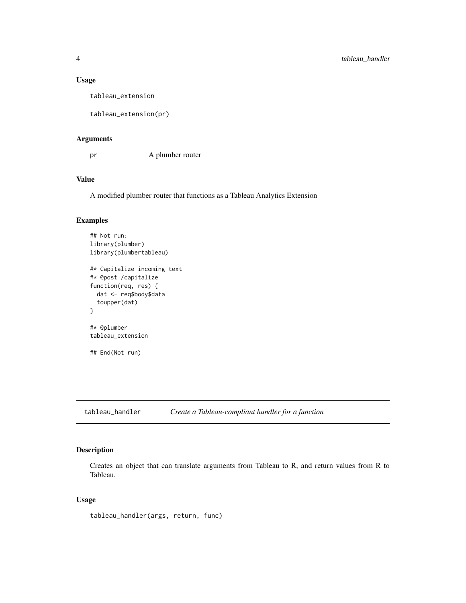#### <span id="page-3-0"></span>Usage

tableau\_extension

tableau\_extension(pr)

#### Arguments

pr A plumber router

#### Value

A modified plumber router that functions as a Tableau Analytics Extension

#### Examples

```
## Not run:
library(plumber)
library(plumbertableau)
#* Capitalize incoming text
#* @post /capitalize
function(req, res) {
  dat <- req$body$data
  toupper(dat)
}
#* @plumber
tableau_extension
## End(Not run)
```
<span id="page-3-1"></span>tableau\_handler *Create a Tableau-compliant handler for a function*

#### Description

Creates an object that can translate arguments from Tableau to R, and return values from R to Tableau.

#### Usage

tableau\_handler(args, return, func)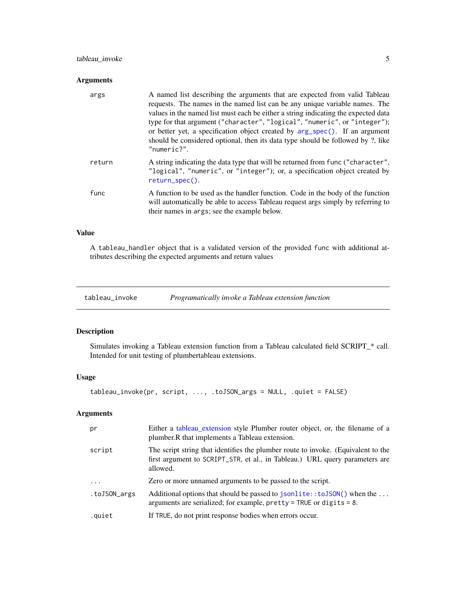#### <span id="page-4-0"></span>tableau\_invoke 5

#### Arguments

| args   | A named list describing the arguments that are expected from valid Tableau<br>requests. The names in the named list can be any unique variable names. The<br>values in the named list must each be either a string indicating the expected data<br>type for that argument ("character", "logical", "numeric", or "integer");<br>or better yet, a specification object created by $arg\_spec()$ . If an argument<br>should be considered optional, then its data type should be followed by ?, like<br>$"numerics?"$ . |
|--------|-----------------------------------------------------------------------------------------------------------------------------------------------------------------------------------------------------------------------------------------------------------------------------------------------------------------------------------------------------------------------------------------------------------------------------------------------------------------------------------------------------------------------|
| return | A string indicating the data type that will be returned from func ("character",<br>"logical", "numeric", or "integer"); or, a specification object created by<br>$return\_spec()$ .                                                                                                                                                                                                                                                                                                                                   |
| func   | A function to be used as the handler function. Code in the body of the function<br>will automatically be able to access Tableau request args simply by referring to<br>their names in args; see the example below.                                                                                                                                                                                                                                                                                                    |

#### Value

A tableau\_handler object that is a validated version of the provided func with additional attributes describing the expected arguments and return values

tableau\_invoke *Programatically invoke a Tableau extension function*

#### Description

Simulates invoking a Tableau extension function from a Tableau calculated field SCRIPT\_\* call. Intended for unit testing of plumbertableau extensions.

#### Usage

tableau\_invoke(pr, script, ..., .toJSON\_args = NULL, .quiet = FALSE)

#### Arguments

| pr           | Either a tableau extension style Plumber router object, or, the filename of a<br>plumber. R that implements a Tableau extension.                                             |
|--------------|------------------------------------------------------------------------------------------------------------------------------------------------------------------------------|
| script       | The script string that identifies the plumber route to invoke. (Equivalent to the<br>first argument to SCRIPT_STR, et al., in Tableau.) URL query parameters are<br>allowed. |
| .            | Zero or more unnamed arguments to be passed to the script.                                                                                                                   |
| .toJSON_args | Additional options that should be passed to jsonlite:: to JSON() when the<br>arguments are serialized; for example, $\text{prety} = \text{TRUE}$ or digits = 8.              |
| .quiet       | If TRUE, do not print response bodies when errors occur.                                                                                                                     |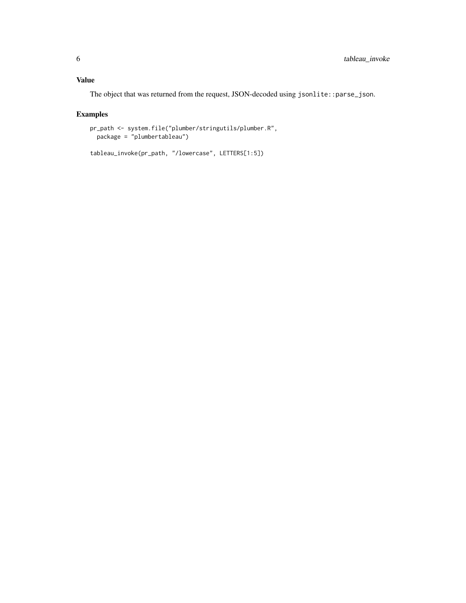#### Value

The object that was returned from the request, JSON-decoded using jsonlite::parse\_json.

#### Examples

```
pr_path <- system.file("plumber/stringutils/plumber.R",
 package = "plumbertableau")
```

```
tableau_invoke(pr_path, "/lowercase", LETTERS[1:5])
```